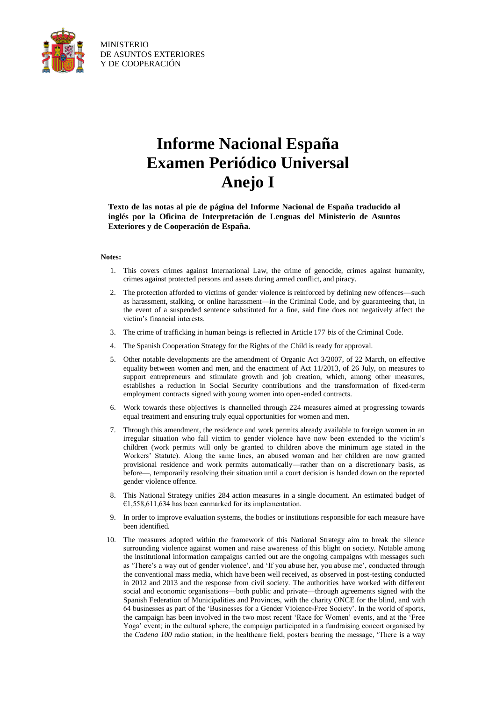

## **Informe Nacional España Examen Periódico Universal Anejo I**

**Texto de las notas al pie de página del Informe Nacional de España traducido al inglés por la Oficina de Interpretación de Lenguas del Ministerio de Asuntos Exteriores y de Cooperación de España.**

## **Notes:**

- 1. This covers crimes against International Law, the crime of genocide, crimes against humanity, crimes against protected persons and assets during armed conflict, and piracy.
- 2. The protection afforded to victims of gender violence is reinforced by defining new offences—such as harassment, stalking, or online harassment—in the Criminal Code, and by guaranteeing that, in the event of a suspended sentence substituted for a fine, said fine does not negatively affect the victim's financial interests.
- 3. The crime of trafficking in human beings is reflected in Article 177 *bis* of the Criminal Code.
- 4. The Spanish Cooperation Strategy for the Rights of the Child is ready for approval.
- 5. Other notable developments are the amendment of Organic Act 3/2007, of 22 March, on effective equality between women and men, and the enactment of Act 11/2013, of 26 July, on measures to support entrepreneurs and stimulate growth and job creation, which, among other measures, establishes a reduction in Social Security contributions and the transformation of fixed-term employment contracts signed with young women into open-ended contracts.
- 6. Work towards these objectives is channelled through 224 measures aimed at progressing towards equal treatment and ensuring truly equal opportunities for women and men.
- 7. Through this amendment, the residence and work permits already available to foreign women in an irregular situation who fall victim to gender violence have now been extended to the victim's children (work permits will only be granted to children above the minimum age stated in the Workers' Statute). Along the same lines, an abused woman and her children are now granted provisional residence and work permits automatically—rather than on a discretionary basis, as before—, temporarily resolving their situation until a court decision is handed down on the reported gender violence offence.
- 8. This National Strategy unifies 284 action measures in a single document. An estimated budget of  $€1,558,611,634$  has been earmarked for its implementation.
- 9. In order to improve evaluation systems, the bodies or institutions responsible for each measure have been identified.
- 10. The measures adopted within the framework of this National Strategy aim to break the silence surrounding violence against women and raise awareness of this blight on society. Notable among the institutional information campaigns carried out are the ongoing campaigns with messages such as 'There's a way out of gender violence', and 'If you abuse her, you abuse me', conducted through the conventional mass media, which have been well received, as observed in post-testing conducted in 2012 and 2013 and the response from civil society. The authorities have worked with different social and economic organisations—both public and private—through agreements signed with the Spanish Federation of Municipalities and Provinces, with the charity ONCE for the blind, and with 64 businesses as part of the 'Businesses for a Gender Violence-Free Society'. In the world of sports, the campaign has been involved in the two most recent 'Race for Women' events, and at the 'Free Yoga' event; in the cultural sphere, the campaign participated in a fundraising concert organised by the *Cadena 100* radio station; in the healthcare field, posters bearing the message, 'There is a way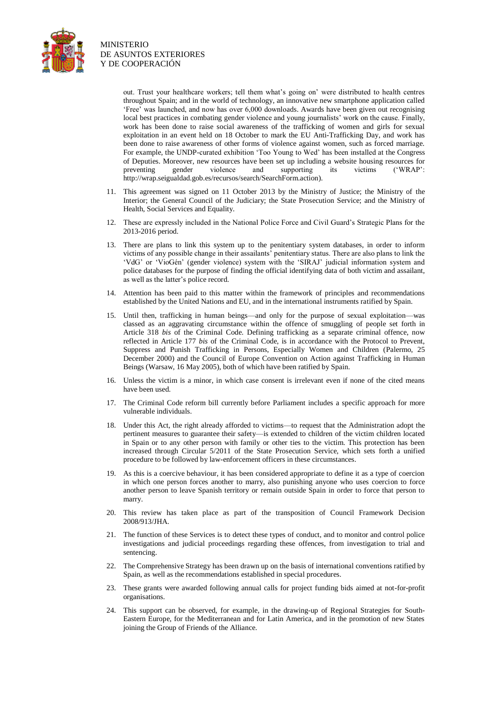

> out. Trust your healthcare workers; tell them what's going on' were distributed to health centres throughout Spain; and in the world of technology, an innovative new smartphone application called 'Free' was launched, and now has over 6,000 downloads. Awards have been given out recognising local best practices in combating gender violence and young journalists' work on the cause. Finally, work has been done to raise social awareness of the trafficking of women and girls for sexual exploitation in an event held on 18 October to mark the EU Anti-Trafficking Day, and work has been done to raise awareness of other forms of violence against women, such as forced marriage. For example, the UNDP-curated exhibition 'Too Young to Wed' has been installed at the Congress of Deputies. Moreover, new resources have been set up including a website housing resources for preventing gender violence and supporting its victims ('WRAP': http://wrap.seigualdad.gob.es/recursos/search/SearchForm.action).

- 11. This agreement was signed on 11 October 2013 by the Ministry of Justice; the Ministry of the Interior; the General Council of the Judiciary; the State Prosecution Service; and the Ministry of Health, Social Services and Equality.
- 12. These are expressly included in the National Police Force and Civil Guard's Strategic Plans for the 2013-2016 period.
- 13. There are plans to link this system up to the penitentiary system databases, in order to inform victims of any possible change in their assailants' penitentiary status. There are also plans to link the 'VdG' or 'VioGén' (gender violence) system with the 'SIRAJ' judicial information system and police databases for the purpose of finding the official identifying data of both victim and assailant, as well as the latter's police record.
- 14. Attention has been paid to this matter within the framework of principles and recommendations established by the United Nations and EU, and in the international instruments ratified by Spain.
- 15. Until then, trafficking in human beings—and only for the purpose of sexual exploitation—was classed as an aggravating circumstance within the offence of smuggling of people set forth in Article 318 *bis* of the Criminal Code. Defining trafficking as a separate criminal offence, now reflected in Article 177 *bis* of the Criminal Code, is in accordance with the Protocol to Prevent, Suppress and Punish Trafficking in Persons, Especially Women and Children (Palermo, 25 December 2000) and the Council of Europe Convention on Action against Trafficking in Human Beings (Warsaw, 16 May 2005), both of which have been ratified by Spain.
- 16. Unless the victim is a minor, in which case consent is irrelevant even if none of the cited means have been used.
- 17. The Criminal Code reform bill currently before Parliament includes a specific approach for more vulnerable individuals.
- 18. Under this Act, the right already afforded to victims—to request that the Administration adopt the pertinent measures to guarantee their safety—is extended to children of the victim children located in Spain or to any other person with family or other ties to the victim. This protection has been increased through Circular 5/2011 of the State Prosecution Service, which sets forth a unified procedure to be followed by law-enforcement officers in these circumstances.
- 19. As this is a coercive behaviour, it has been considered appropriate to define it as a type of coercion in which one person forces another to marry, also punishing anyone who uses coercion to force another person to leave Spanish territory or remain outside Spain in order to force that person to marry.
- 20. This review has taken place as part of the transposition of Council Framework Decision 2008/913/JHA.
- 21. The function of these Services is to detect these types of conduct, and to monitor and control police investigations and judicial proceedings regarding these offences, from investigation to trial and sentencing.
- 22. The Comprehensive Strategy has been drawn up on the basis of international conventions ratified by Spain, as well as the recommendations established in special procedures.
- 23. These grants were awarded following annual calls for project funding bids aimed at not-for-profit organisations.
- 24. This support can be observed, for example, in the drawing-up of Regional Strategies for South-Eastern Europe, for the Mediterranean and for Latin America, and in the promotion of new States joining the Group of Friends of the Alliance.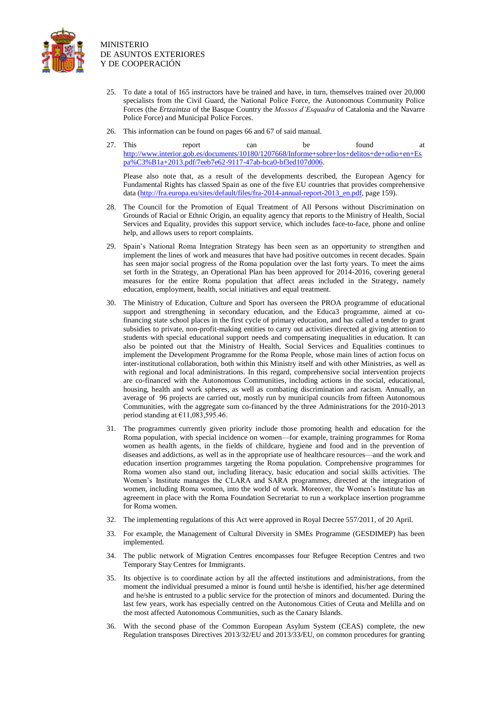

- 25. To date a total of 165 instructors have be trained and have, in turn, themselves trained over 20,000 specialists from the Civil Guard, the National Police Force, the Autonomous Community Police Forces (the *Ertzaintza* of the Basque Country the *Mossos d'Esquadra* of Catalonia and the Navarre Police Force) and Municipal Police Forces.
- 26. This information can be found on pages 66 and 67 of said manual.
- 27. This report can be found at http://www.interior.gob.es/documents/10180/1207668/Informe+sobre+los+delitos+de+odio+en+Es pa%C3%B1a+2013.pdf/7eeb7e62-9117-47ab-bca0-bf3ed107d006.

Please also note that, as a result of the developments described, the European Agency for Fundamental Rights has classed Spain as one of the five EU countries that provides comprehensive data (http://fra.europa.eu/sites/default/files/fra-2014-annual-report-2013\_en.pdf, page 159).

- 28. The Council for the Promotion of Equal Treatment of All Persons without Discrimination on Grounds of Racial or Ethnic Origin, an equality agency that reports to the Ministry of Health, Social Services and Equality, provides this support service, which includes face-to-face, phone and online help, and allows users to report complaints.
- 29. Spain's National Roma Integration Strategy has been seen as an opportunity to strengthen and implement the lines of work and measures that have had positive outcomes in recent decades. Spain has seen major social progress of the Roma population over the last forty years. To meet the aims set forth in the Strategy, an Operational Plan has been approved for 2014-2016, covering general measures for the entire Roma population that affect areas included in the Strategy, namely education, employment, health, social initiatives and equal treatment.
- 30. The Ministry of Education, Culture and Sport has overseen the PROA programme of educational support and strengthening in secondary education, and the Educa3 programme, aimed at cofinancing state school places in the first cycle of primary education, and has called a tender to grant subsidies to private, non-profit-making entities to carry out activities directed at giving attention to students with special educational support needs and compensating inequalities in education. It can also be pointed out that the Ministry of Health, Social Services and Equalities continues to implement the Development Programme for the Roma People, whose main lines of action focus on inter-institutional collaboration, both within this Ministry itself and with other Ministries, as well as with regional and local administrations. In this regard, comprehensive social intervention projects are co-financed with the Autonomous Communities, including actions in the social, educational, housing, health and work spheres, as well as combating discrimination and racism. Annually, an average of 96 projects are carried out, mostly run by municipal councils from fifteen Autonomous Communities, with the aggregate sum co-financed by the three Administrations for the 2010-2013 period standing at  $£11,083,595.46$ .
- 31. The programmes currently given priority include those promoting health and education for the Roma population, with special incidence on women—for example, training programmes for Roma women as health agents, in the fields of childcare, hygiene and food and in the prevention of diseases and addictions, as well as in the appropriate use of healthcare resources—and the work and education insertion programmes targeting the Roma population. Comprehensive programmes for Roma women also stand out, including literacy, basic education and social skills activities. The Women's Institute manages the CLARA and SARA programmes, directed at the integration of women, including Roma women, into the world of work. Moreover, the Women's Institute has an agreement in place with the Roma Foundation Secretariat to run a workplace insertion programme for Roma women.
- 32. The implementing regulations of this Act were approved in Royal Decree 557/2011, of 20 April.
- 33. For example, the Management of Cultural Diversity in SMEs Programme (GESDIMEP) has been implemented.
- 34. The public network of Migration Centres encompasses four Refugee Reception Centres and two Temporary Stay Centres for Immigrants.
- 35. Its objective is to coordinate action by all the affected institutions and administrations, from the moment the individual presumed a minor is found until he/she is identified, his/her age determined and he/she is entrusted to a public service for the protection of minors and documented. During the last few years, work has especially centred on the Autonomous Cities of Ceuta and Melilla and on the most affected Autonomous Communities, such as the Canary Islands.
- 36. With the second phase of the Common European Asylum System (CEAS) complete, the new Regulation transposes Directives 2013/32/EU and 2013/33/EU, on common procedures for granting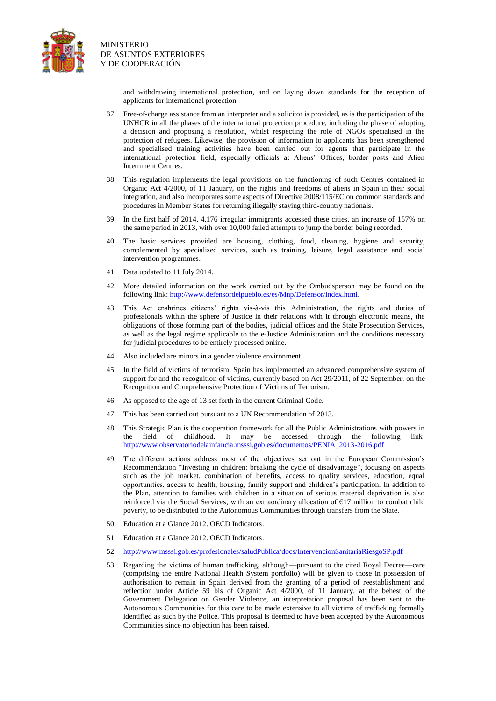

> and withdrawing international protection, and on laying down standards for the reception of applicants for international protection.

- 37. Free-of-charge assistance from an interpreter and a solicitor is provided, as is the participation of the UNHCR in all the phases of the international protection procedure, including the phase of adopting a decision and proposing a resolution, whilst respecting the role of NGOs specialised in the protection of refugees. Likewise, the provision of information to applicants has been strengthened and specialised training activities have been carried out for agents that participate in the international protection field, especially officials at Aliens' Offices, border posts and Alien Internment Centres.
- 38. This regulation implements the legal provisions on the functioning of such Centres contained in Organic Act 4/2000, of 11 January, on the rights and freedoms of aliens in Spain in their social integration, and also incorporates some aspects of Directive 2008/115/EC on common standards and procedures in Member States for returning illegally staying third-country nationals.
- 39. In the first half of 2014, 4,176 irregular immigrants accessed these cities, an increase of 157% on the same period in 2013, with over 10,000 failed attempts to jump the border being recorded.
- 40. The basic services provided are housing, clothing, food, cleaning, hygiene and security, complemented by specialised services, such as training, leisure, legal assistance and social intervention programmes.
- 41. Data updated to 11 July 2014.
- 42. More detailed information on the work carried out by the Ombudsperson may be found on the following link: [http://www.defensordelpueblo.es/es/Mnp/Defensor/index.html.](http://www.defensordelpueblo.es/es/Mnp/Defensor/index.html)
- 43. This Act enshrines citizens' rights vis-à-vis this Administration, the rights and duties of professionals within the sphere of Justice in their relations with it through electronic means, the obligations of those forming part of the bodies, judicial offices and the State Prosecution Services, as well as the legal regime applicable to the e-Justice Administration and the conditions necessary for judicial procedures to be entirely processed online.
- 44. Also included are minors in a gender violence environment.
- 45. In the field of victims of terrorism. Spain has implemented an advanced comprehensive system of support for and the recognition of victims, currently based on Act 29/2011, of 22 September, on the Recognition and Comprehensive Protection of Victims of Terrorism.
- 46. As opposed to the age of 13 set forth in the current Criminal Code.
- 47. This has been carried out pursuant to a UN Recommendation of 2013.
- 48. This Strategic Plan is the cooperation framework for all the Public Administrations with powers in the field of childhood. It may be accessed through the following link: [http://www.observatoriodelainfancia.msssi.gob.es/documentos/PENIA\\_2013-2016.pdf](http://www.observatoriodelainfancia.msssi.gob.es/documentos/PENIA_2013-2016.pdf)
- 49. The different actions address most of the objectives set out in the European Commission's Recommendation "Investing in children: breaking the cycle of disadvantage", focusing on aspects such as the job market, combination of benefits, access to quality services, education, equal opportunities, access to health, housing, family support and children's participation. In addition to the Plan, attention to families with children in a situation of serious material deprivation is also reinforced via the Social Services, with an extraordinary allocation of €17 million to combat child poverty, to be distributed to the Autonomous Communities through transfers from the State.
- 50. Education at a Glance 2012. OECD Indicators.
- 51. Education at a Glance 2012. OECD Indicators.
- 52. <http://www.msssi.gob.es/profesionales/saludPublica/docs/IntervencionSanitariaRiesgoSP.pdf>
- 53. Regarding the victims of human trafficking, although—pursuant to the cited Royal Decree—care (comprising the entire National Health System portfolio) will be given to those in possession of authorisation to remain in Spain derived from the granting of a period of reestablishment and reflection under Article 59 bis of Organic Act 4/2000, of 11 January, at the behest of the Government Delegation on Gender Violence, an interpretation proposal has been sent to the Autonomous Communities for this care to be made extensive to all victims of trafficking formally identified as such by the Police. This proposal is deemed to have been accepted by the Autonomous Communities since no objection has been raised.